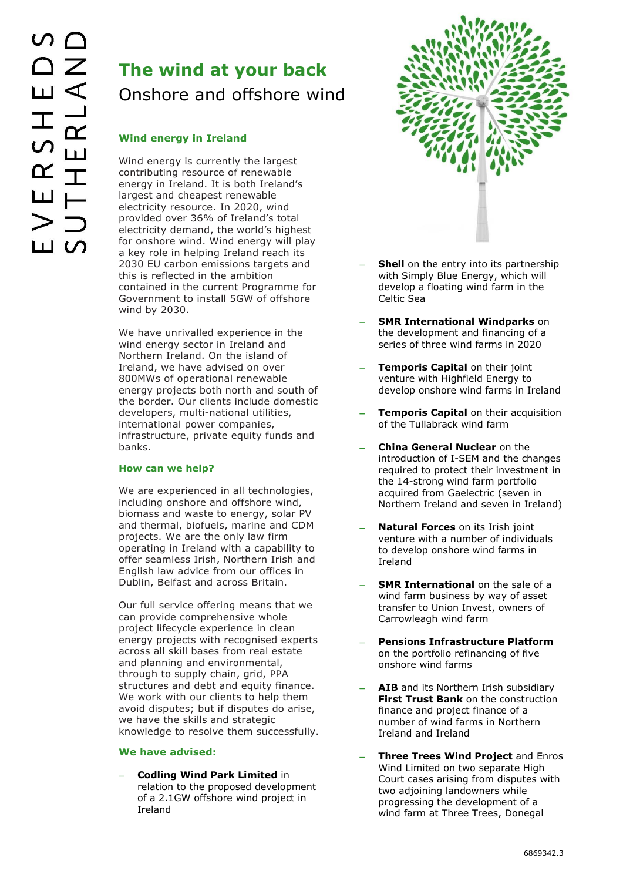# **The wind at your back** Onshore and offshore wind

## **Wind energy in Ireland**

Wind energy is currently the largest contributing resource of renewable energy in Ireland. It is both Ireland's largest and cheapest renewable electricity resource. In 2020, wind provided over 36% of Ireland's total electricity demand, the world's highest for onshore wind. Wind energy will play a key role in helping Ireland reach its 2030 EU carbon emissions targets and this is reflected in the ambition contained in the current Programme for Government to install 5GW of offshore wind by 2030.

We have unrivalled experience in the wind energy sector in Ireland and Northern Ireland. On the island of Ireland, we have advised on over 800MWs of operational renewable energy projects both north and south of the border. Our clients include domestic developers, multi-national utilities, international power companies, infrastructure, private equity funds and banks.

## **How can we help?**

We are experienced in all technologies, including onshore and offshore wind, biomass and waste to energy, solar PV and thermal, biofuels, marine and CDM projects. We are the only law firm operating in Ireland with a capability to offer seamless Irish, Northern Irish and English law advice from our offices in Dublin, Belfast and across Britain.

Our full service offering means that we can provide comprehensive whole project lifecycle experience in clean energy projects with recognised experts across all skill bases from real estate and planning and environmental, through to supply chain, grid, PPA structures and debt and equity finance. We work with our clients to help them avoid disputes; but if disputes do arise, we have the skills and strategic knowledge to resolve them successfully.

## **We have advised:**

 **Codling Wind Park Limited** in relation to the proposed development of a 2.1GW offshore wind project in Ireland



- **Shell** on the entry into its partnership with Simply Blue Energy, which will develop a floating wind farm in the Celtic Sea
- **SMR International Windparks** on the development and financing of a series of three wind farms in 2020
- **Temporis Capital** on their joint venture with Highfield Energy to develop onshore wind farms in Ireland
- **Temporis Capital** on their acquisition of the Tullabrack wind farm
- **China General Nuclear** on the introduction of I-SEM and the changes required to protect their investment in the 14-strong wind farm portfolio acquired from Gaelectric (seven in Northern Ireland and seven in Ireland)
- **Natural Forces** on its Irish joint venture with a number of individuals to develop onshore wind farms in Ireland
- **SMR International** on the sale of a wind farm business by way of asset transfer to Union Invest, owners of Carrowleagh wind farm
- **Pensions Infrastructure Platform** on the portfolio refinancing of five onshore wind farms
- **AIB** and its Northern Irish subsidiary **First Trust Bank** on the construction finance and project finance of a number of wind farms in Northern Ireland and Ireland
- **Three Trees Wind Project** and Enros Wind Limited on two separate High Court cases arising from disputes with two adjoining landowners while progressing the development of a wind farm at Three Trees, Donegal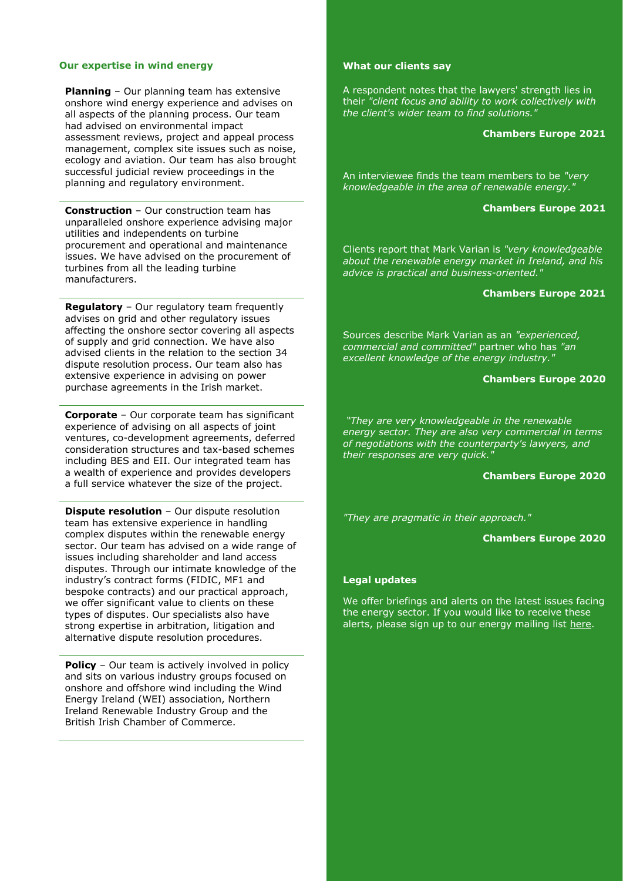## **Our expertise in wind energy**

**Planning** – Our planning team has extensive onshore wind energy experience and advises on all aspects of the planning process. Our team had advised on environmental impact assessment reviews, project and appeal process management, complex site issues such as noise, ecology and aviation. Our team has also brought successful judicial review proceedings in the planning and regulatory environment.

**Construction** – Our construction team has unparalleled onshore experience advising major utilities and independents on turbine procurement and operational and maintenance issues. We have advised on the procurement of turbines from all the leading turbine manufacturers.

**Regulatory** – Our regulatory team frequently advises on grid and other regulatory issues affecting the onshore sector covering all aspects of supply and grid connection. We have also advised clients in the relation to the section 34 dispute resolution process. Our team also has extensive experience in advising on power purchase agreements in the Irish market.

**Corporate** – Our corporate team has significant experience of advising on all aspects of joint ventures, co-development agreements, deferred consideration structures and tax-based schemes including BES and EII. Our integrated team has a wealth of experience and provides developers a full service whatever the size of the project.

**Dispute resolution** - Our dispute resolution team has extensive experience in handling complex disputes within the renewable energy sector. Our team has advised on a wide range of issues including shareholder and land access disputes. Through our intimate knowledge of the industry's contract forms (FIDIC, MF1 and bespoke contracts) and our practical approach, we offer significant value to clients on these types of disputes. Our specialists also have strong expertise in arbitration, litigation and alternative dispute resolution procedures.

**Policy** – Our team is actively involved in policy and sits on various industry groups focused on onshore and offshore wind including the Wind Energy Ireland (WEI) association, Northern Ireland Renewable Industry Group and the British Irish Chamber of Commerce.

## **What our clients say**

A respondent notes that the lawyers' strength lies in their *"client focus and ability to work collectively with the client's wider team to find solutions."*

#### **Chambers Europe 2021**

An interviewee finds the team members to be *"very knowledgeable in the area of renewable energy."*

#### **Chambers Europe 2021**

Clients report that Mark Varian is *"very knowledgeable about the renewable energy market in Ireland, and his advice is practical and business-oriented."*

### **Chambers Europe 2021**

Sources describe Mark Varian as an *"experienced, commercial and committed"* partner who has *"an excellent knowledge of the energy industry."*

#### **Chambers Europe 2020**

*"They are very knowledgeable in the renewable energy sector. They are also very commercial in terms of negotiations with the counterparty's lawyers, and their responses are very quick."*

#### **Chambers Europe 2020**

*"They are pragmatic in their approach."*

#### **Chambers Europe 2020**

### **Legal updates**

We offer briefings and alerts on the latest issues facing the energy sector. If you would like to receive these alerts, please sign up to our energy mailing list [here.](https://www.eversheds-sutherland.com/global/en/where/europe/ireland/overview/subscribe.page?)